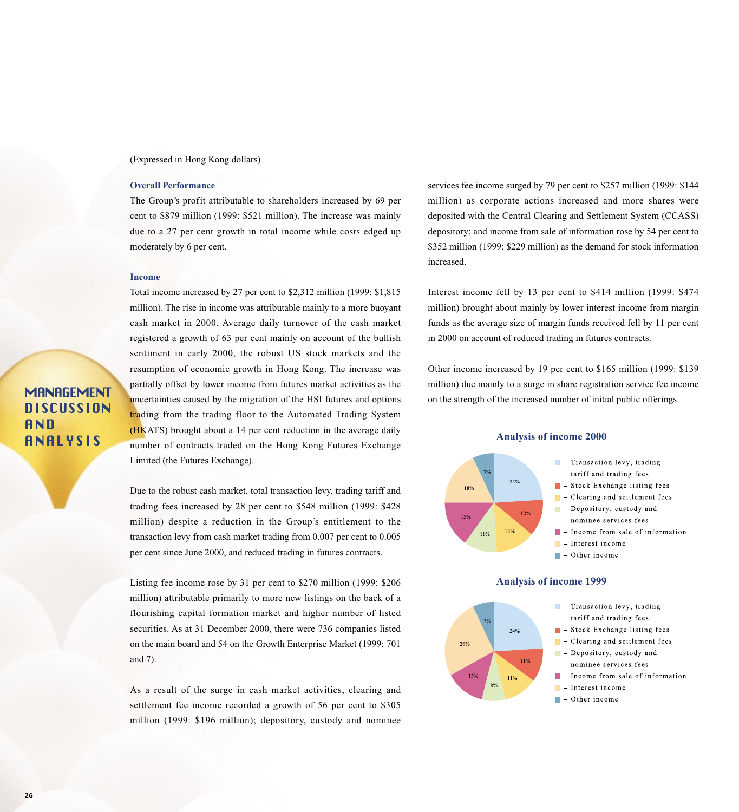### (Expressed in Hong Kong dollars)

## **Overall Performance**

The Group's profit attributable to shareholders increased by 69 per cent to \$879 million (1999: \$521 million). The increase was mainly due to a 27 per cent growth in total income while costs edged up moderately by 6 per cent.

## **Income**

**MANAGEMENT DISCUSSION** 

ANALYSIS

AND

Total income increased by 27 per cent to \$2,312 million (1999: \$1,815 million). The rise in income was attributable mainly to a more buoyant cash market in 2000. Average daily turnover of the cash market registered a growth of 63 per cent mainly on account of the bullish sentiment in early 2000, the robust US stock markets and the resumption of economic growth in Hong Kong. The increase was partially offset by lower income from futures market activities as the uncertainties caused by the migration of the HSI futures and options trading from the trading floor to the Automated Trading System (HKATS) brought about a 14 per cent reduction in the average daily number of contracts traded on the Hong Kong Futures Exchange Limited (the Futures Exchange).

Due to the robust cash market, total transaction levy, trading tariff and trading fees increased by 28 per cent to \$548 million (1999: \$428 million) despite a reduction in the Group's entitlement to the transaction levy from cash market trading from 0.007 per cent to 0.005 per cent since June 2000, and reduced trading in futures contracts.

Listing fee income rose by 31 per cent to \$270 million (1999: \$206 million) attributable primarily to more new listings on the back of a flourishing capital formation market and higher number of listed securities. As at 31 December 2000, there were 736 companies listed on the main board and 54 on the Growth Enterprise Market (1999: 701 and 7).

As a result of the surge in cash market activities, clearing and settlement fee income recorded a growth of 56 per cent to \$305 million (1999: \$196 million); depository, custody and nominee services fee income surged by 79 per cent to \$257 million (1999: \$144 million) as corporate actions increased and more shares were deposited with the Central Clearing and Settlement System (CCASS) depository; and income from sale of information rose by 54 per cent to \$352 million (1999: \$229 million) as the demand for stock information increased.

Interest income fell by 13 per cent to \$414 million (1999: \$474 million) brought about mainly by lower interest income from margin funds as the average size of margin funds received fell by 11 per cent in 2000 on account of reduced trading in futures contracts.

Other income increased by 19 per cent to \$165 million (1999: \$139 million) due mainly to a surge in share registration service fee income on the strength of the increased number of initial public offerings.



#### $\blacksquare$  – Interest income  $\blacksquare$  - Other income

13%

11%

nominee services fees

 $\blacksquare$  - Income from sale of information

## **Analysis of income 2000**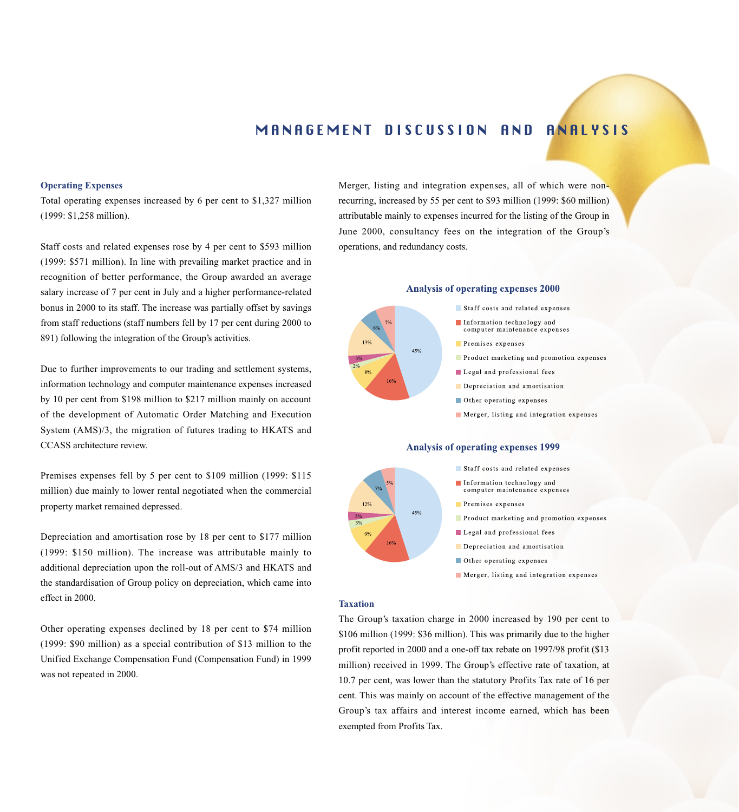## MANAGEMENT DISCUSSION AND ANALYSIS

#### **Operating Expenses**

Total operating expenses increased by 6 per cent to \$1,327 million (1999: \$1,258 million).

Staff costs and related expenses rose by 4 per cent to \$593 million (1999: \$571 million). In line with prevailing market practice and in recognition of better performance, the Group awarded an average salary increase of 7 per cent in July and a higher performance-related bonus in 2000 to its staff. The increase was partially offset by savings from staff reductions (staff numbers fell by 17 per cent during 2000 to 891) following the integration of the Group's activities.

Due to further improvements to our trading and settlement systems, information technology and computer maintenance expenses increased by 10 per cent from \$198 million to \$217 million mainly on account of the development of Automatic Order Matching and Execution System (AMS)/3, the migration of futures trading to HKATS and CCASS architecture review.

Premises expenses fell by 5 per cent to \$109 million (1999: \$115 million) due mainly to lower rental negotiated when the commercial property market remained depressed.

Depreciation and amortisation rose by 18 per cent to \$177 million (1999: \$150 million). The increase was attributable mainly to additional depreciation upon the roll-out of AMS/3 and HKATS and the standardisation of Group policy on depreciation, which came into effect in 2000.

Other operating expenses declined by 18 per cent to \$74 million (1999: \$90 million) as a special contribution of \$13 million to the Unified Exchange Compensation Fund (Compensation Fund) in 1999 was not repeated in 2000.

Merger, listing and integration expenses, all of which were nonrecurring, increased by 55 per cent to \$93 million (1999: \$60 million) attributable mainly to expenses incurred for the listing of the Group in June 2000, consultancy fees on the integration of the Group's operations, and redundancy costs.

## **Analysis of operating expenses 2000**



45%

- Staff costs and related expenses
- Information technology and computer maintenance expenses
- Premises expenses
- Product marketing and promotion expenses
- Legal and professional fees
- Depreciation and amortisation
- Other operating expenses
- Merger, listing and integration expenses

### **Analysis of operating expenses 1999**



- Information technology and computer maintenance expenses
- Premises expenses
- Product marketing and promotion expenses
- Legal and professional fees
- Depreciation and amortisation
- Other operating expenses
- Merger, listing and integration expenses

#### **Taxation**

The Group's taxation charge in 2000 increased by 190 per cent to \$106 million (1999: \$36 million). This was primarily due to the higher profit reported in 2000 and a one-off tax rebate on 1997/98 profit (\$13 million) received in 1999. The Group's effective rate of taxation, at 10.7 per cent, was lower than the statutory Profits Tax rate of 16 per cent. This was mainly on account of the effective management of the Group's tax affairs and interest income earned, which has been exempted from Profits Tax.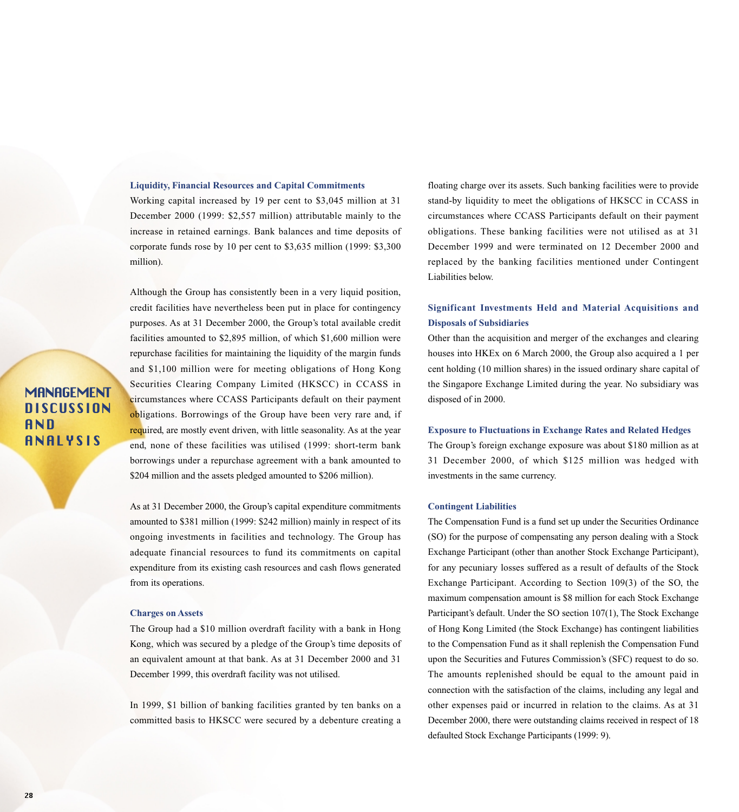#### **Liquidity, Financial Resources and Capital Commitments**

Working capital increased by 19 per cent to \$3,045 million at 31 December 2000 (1999: \$2,557 million) attributable mainly to the increase in retained earnings. Bank balances and time deposits of corporate funds rose by 10 per cent to \$3,635 million (1999: \$3,300 million).

Although the Group has consistently been in a very liquid position, credit facilities have nevertheless been put in place for contingency purposes. As at 31 December 2000, the Group's total available credit facilities amounted to \$2,895 million, of which \$1,600 million were repurchase facilities for maintaining the liquidity of the margin funds and \$1,100 million were for meeting obligations of Hong Kong Securities Clearing Company Limited (HKSCC) in CCASS in circumstances where CCASS Participants default on their payment obligations. Borrowings of the Group have been very rare and, if required, are mostly event driven, with little seasonality. As at the year end, none of these facilities was utilised (1999: short-term bank borrowings under a repurchase agreement with a bank amounted to \$204 million and the assets pledged amounted to \$206 million).

As at 31 December 2000, the Group's capital expenditure commitments amounted to \$381 million (1999: \$242 million) mainly in respect of its ongoing investments in facilities and technology. The Group has adequate financial resources to fund its commitments on capital expenditure from its existing cash resources and cash flows generated from its operations.

### **Charges on Assets**

The Group had a \$10 million overdraft facility with a bank in Hong Kong, which was secured by a pledge of the Group's time deposits of an equivalent amount at that bank. As at 31 December 2000 and 31 December 1999, this overdraft facility was not utilised.

In 1999, \$1 billion of banking facilities granted by ten banks on a committed basis to HKSCC were secured by a debenture creating a

floating charge over its assets. Such banking facilities were to provide stand-by liquidity to meet the obligations of HKSCC in CCASS in circumstances where CCASS Participants default on their payment obligations. These banking facilities were not utilised as at 31 December 1999 and were terminated on 12 December 2000 and replaced by the banking facilities mentioned under Contingent Liabilities below.

## **Significant Investments Held and Material Acquisitions and Disposals of Subsidiaries**

Other than the acquisition and merger of the exchanges and clearing houses into HKEx on 6 March 2000, the Group also acquired a 1 per cent holding (10 million shares) in the issued ordinary share capital of the Singapore Exchange Limited during the year. No subsidiary was disposed of in 2000.

#### **Exposure to Fluctuations in Exchange Rates and Related Hedges**

The Group's foreign exchange exposure was about \$180 million as at 31 December 2000, of which \$125 million was hedged with investments in the same currency.

#### **Contingent Liabilities**

The Compensation Fund is a fund set up under the Securities Ordinance (SO) for the purpose of compensating any person dealing with a Stock Exchange Participant (other than another Stock Exchange Participant), for any pecuniary losses suffered as a result of defaults of the Stock Exchange Participant. According to Section 109(3) of the SO, the maximum compensation amount is \$8 million for each Stock Exchange Participant's default. Under the SO section 107(1), The Stock Exchange of Hong Kong Limited (the Stock Exchange) has contingent liabilities to the Compensation Fund as it shall replenish the Compensation Fund upon the Securities and Futures Commission's (SFC) request to do so. The amounts replenished should be equal to the amount paid in connection with the satisfaction of the claims, including any legal and other expenses paid or incurred in relation to the claims. As at 31 December 2000, there were outstanding claims received in respect of 18 defaulted Stock Exchange Participants (1999: 9).

## **MANAGEMENT DISCUSSION** AND ANALYSIS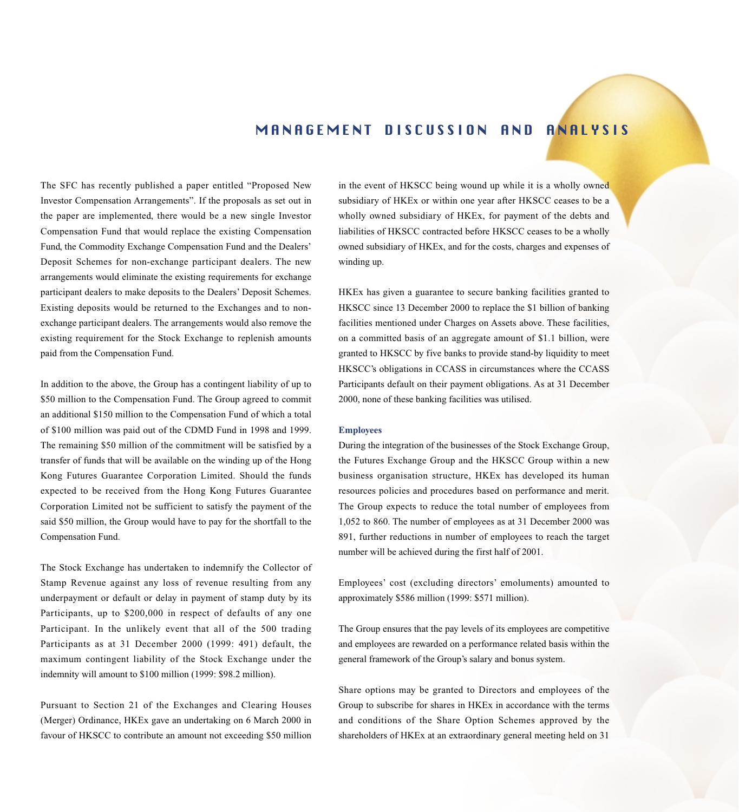## MANAGEMENT DISCUSSION AND ANALYSIS

The SFC has recently published a paper entitled "Proposed New Investor Compensation Arrangements". If the proposals as set out in the paper are implemented, there would be a new single Investor Compensation Fund that would replace the existing Compensation Fund, the Commodity Exchange Compensation Fund and the Dealers' Deposit Schemes for non-exchange participant dealers. The new arrangements would eliminate the existing requirements for exchange participant dealers to make deposits to the Dealers' Deposit Schemes. Existing deposits would be returned to the Exchanges and to nonexchange participant dealers. The arrangements would also remove the existing requirement for the Stock Exchange to replenish amounts paid from the Compensation Fund.

In addition to the above, the Group has a contingent liability of up to \$50 million to the Compensation Fund. The Group agreed to commit an additional \$150 million to the Compensation Fund of which a total of \$100 million was paid out of the CDMD Fund in 1998 and 1999. The remaining \$50 million of the commitment will be satisfied by a transfer of funds that will be available on the winding up of the Hong Kong Futures Guarantee Corporation Limited. Should the funds expected to be received from the Hong Kong Futures Guarantee Corporation Limited not be sufficient to satisfy the payment of the said \$50 million, the Group would have to pay for the shortfall to the Compensation Fund.

The Stock Exchange has undertaken to indemnify the Collector of Stamp Revenue against any loss of revenue resulting from any underpayment or default or delay in payment of stamp duty by its Participants, up to \$200,000 in respect of defaults of any one Participant. In the unlikely event that all of the 500 trading Participants as at 31 December 2000 (1999: 491) default, the maximum contingent liability of the Stock Exchange under the indemnity will amount to \$100 million (1999: \$98.2 million).

Pursuant to Section 21 of the Exchanges and Clearing Houses (Merger) Ordinance, HKEx gave an undertaking on 6 March 2000 in favour of HKSCC to contribute an amount not exceeding \$50 million

in the event of HKSCC being wound up while it is a wholly owned subsidiary of HKEx or within one year after HKSCC ceases to be a wholly owned subsidiary of HKEx, for payment of the debts and liabilities of HKSCC contracted before HKSCC ceases to be a wholly owned subsidiary of HKEx, and for the costs, charges and expenses of winding up.

HKEx has given a guarantee to secure banking facilities granted to HKSCC since 13 December 2000 to replace the \$1 billion of banking facilities mentioned under Charges on Assets above. These facilities, on a committed basis of an aggregate amount of \$1.1 billion, were granted to HKSCC by five banks to provide stand-by liquidity to meet HKSCC's obligations in CCASS in circumstances where the CCASS Participants default on their payment obligations. As at 31 December 2000, none of these banking facilities was utilised.

#### **Employees**

During the integration of the businesses of the Stock Exchange Group, the Futures Exchange Group and the HKSCC Group within a new business organisation structure, HKEx has developed its human resources policies and procedures based on performance and merit. The Group expects to reduce the total number of employees from 1,052 to 860. The number of employees as at 31 December 2000 was 891, further reductions in number of employees to reach the target number will be achieved during the first half of 2001.

Employees' cost (excluding directors' emoluments) amounted to approximately \$586 million (1999: \$571 million).

The Group ensures that the pay levels of its employees are competitive and employees are rewarded on a performance related basis within the general framework of the Group's salary and bonus system.

Share options may be granted to Directors and employees of the Group to subscribe for shares in HKEx in accordance with the terms and conditions of the Share Option Schemes approved by the shareholders of HKEx at an extraordinary general meeting held on 31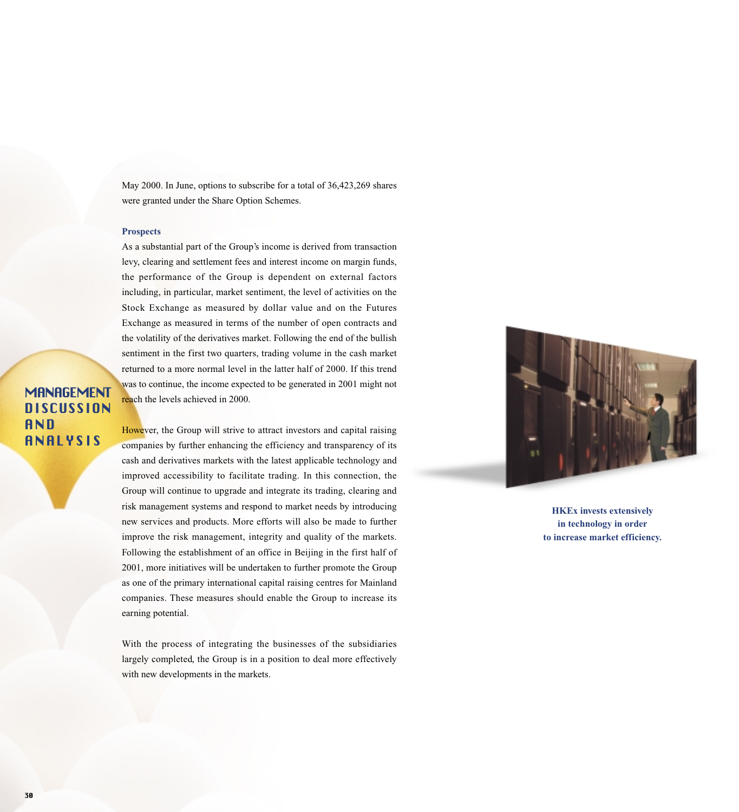May 2000. In June, options to subscribe for a total of 36,423,269 shares were granted under the Share Option Schemes.

## **Prospects**

As a substantial part of the Group's income is derived from transaction levy, clearing and settlement fees and interest income on margin funds, the performance of the Group is dependent on external factors including, in particular, market sentiment, the level of activities on the Stock Exchange as measured by dollar value and on the Futures Exchange as measured in terms of the number of open contracts and the volatility of the derivatives market. Following the end of the bullish sentiment in the first two quarters, trading volume in the cash market returned to a more normal level in the latter half of 2000. If this trend was to continue, the income expected to be generated in 2001 might not reach the levels achieved in 2000.

# **MANAGEMENT DISCUSSION AND** ANALYSIS

However, the Group will strive to attract investors and capital raising companies by further enhancing the efficiency and transparency of its cash and derivatives markets with the latest applicable technology and improved accessibility to facilitate trading. In this connection, the Group will continue to upgrade and integrate its trading, clearing and risk management systems and respond to market needs by introducing new services and products. More efforts will also be made to further improve the risk management, integrity and quality of the markets. Following the establishment of an office in Beijing in the first half of 2001, more initiatives will be undertaken to further promote the Group as one of the primary international capital raising centres for Mainland companies. These measures should enable the Group to increase its earning potential.

With the process of integrating the businesses of the subsidiaries largely completed, the Group is in a position to deal more effectively with new developments in the markets.



**HKEx invests extensively in technology in order to increase market efficiency.**